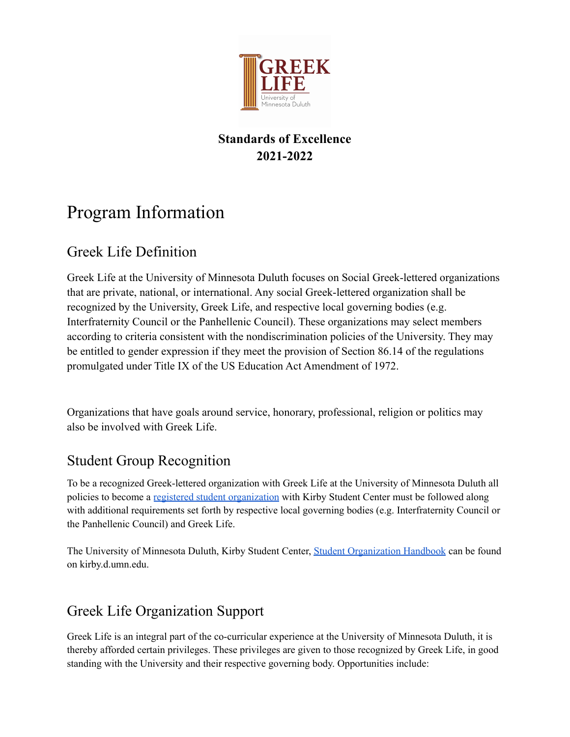

### **Standards of Excellence 2021-2022**

# Program Information

# Greek Life Definition

Greek Life at the University of Minnesota Duluth focuses on Social Greek-lettered organizations that are private, national, or international. Any social Greek-lettered organization shall be recognized by the University, Greek Life, and respective local governing bodies (e.g. Interfraternity Council or the Panhellenic Council). These organizations may select members according to criteria consistent with the nondiscrimination policies of the University. They may be entitled to gender expression if they meet the provision of Section 86.14 of the regulations promulgated under Title IX of the US Education Act Amendment of 1972.

Organizations that have goals around service, honorary, professional, religion or politics may also be involved with Greek Life.

## Student Group Recognition

To be a recognized Greek-lettered organization with Greek Life at the University of Minnesota Duluth all policies to become a registered student [organization](https://duluth-umn.presence.io/) with Kirby Student Center must be followed along with additional requirements set forth by respective local governing bodies (e.g. Interfraternity Council or the Panhellenic Council) and Greek Life.

The University of Minnesota Duluth, Kirby Student Center, Student [Organization](https://kirby.d.umn.edu/student-activities/student-activities-info/student-organization-handbook) Handbook can be found on kirby.d.umn.edu.

# Greek Life Organization Support

Greek Life is an integral part of the co-curricular experience at the University of Minnesota Duluth, it is thereby afforded certain privileges. These privileges are given to those recognized by Greek Life, in good standing with the University and their respective governing body. Opportunities include: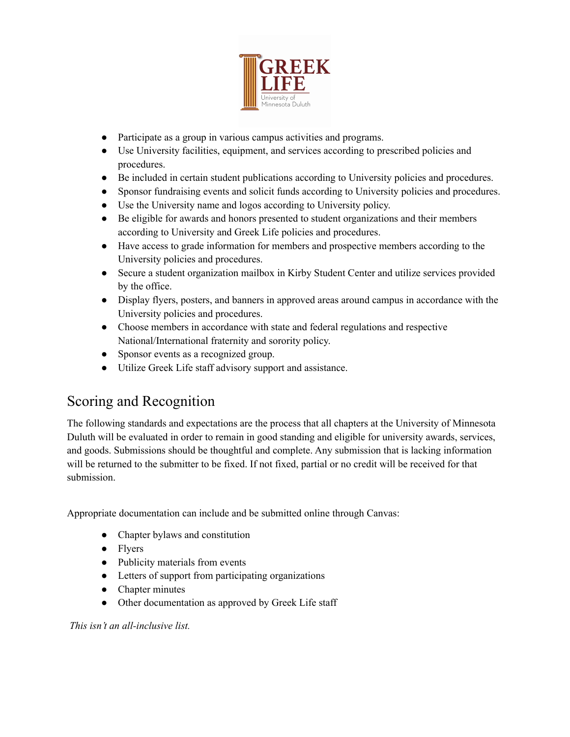

- Participate as a group in various campus activities and programs.
- Use University facilities, equipment, and services according to prescribed policies and procedures.
- Be included in certain student publications according to University policies and procedures.
- Sponsor fundraising events and solicit funds according to University policies and procedures.
- Use the University name and logos according to University policy.
- Be eligible for awards and honors presented to student organizations and their members according to University and Greek Life policies and procedures.
- Have access to grade information for members and prospective members according to the University policies and procedures.
- Secure a student organization mailbox in Kirby Student Center and utilize services provided by the office.
- Display flyers, posters, and banners in approved areas around campus in accordance with the University policies and procedures.
- Choose members in accordance with state and federal regulations and respective National/International fraternity and sorority policy.
- Sponsor events as a recognized group.
- Utilize Greek Life staff advisory support and assistance.

# Scoring and Recognition

The following standards and expectations are the process that all chapters at the University of Minnesota Duluth will be evaluated in order to remain in good standing and eligible for university awards, services, and goods. Submissions should be thoughtful and complete. Any submission that is lacking information will be returned to the submitter to be fixed. If not fixed, partial or no credit will be received for that submission.

Appropriate documentation can include and be submitted online through Canvas:

- Chapter bylaws and constitution
- Flyers
- Publicity materials from events
- Letters of support from participating organizations
- Chapter minutes
- Other documentation as approved by Greek Life staff

*This isn't an all-inclusive list.*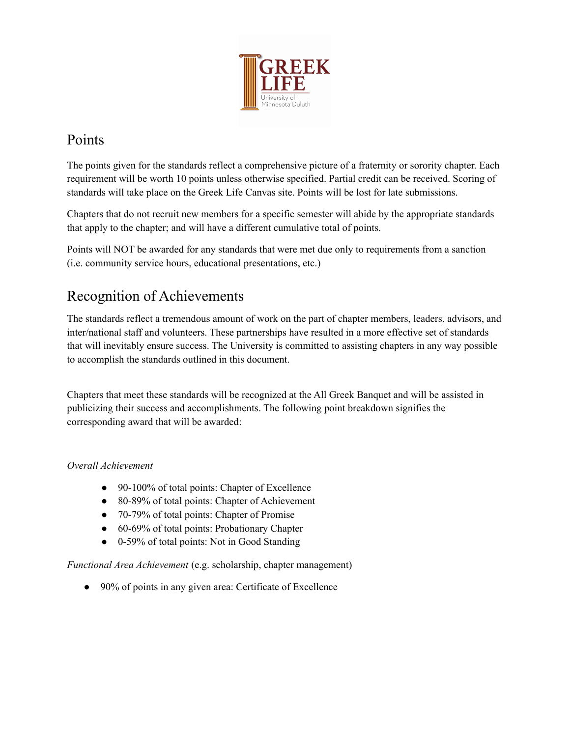

# Points

The points given for the standards reflect a comprehensive picture of a fraternity or sorority chapter. Each requirement will be worth 10 points unless otherwise specified. Partial credit can be received. Scoring of standards will take place on the Greek Life Canvas site. Points will be lost for late submissions.

Chapters that do not recruit new members for a specific semester will abide by the appropriate standards that apply to the chapter; and will have a different cumulative total of points.

Points will NOT be awarded for any standards that were met due only to requirements from a sanction (i.e. community service hours, educational presentations, etc.)

# Recognition of Achievements

The standards reflect a tremendous amount of work on the part of chapter members, leaders, advisors, and inter/national staff and volunteers. These partnerships have resulted in a more effective set of standards that will inevitably ensure success. The University is committed to assisting chapters in any way possible to accomplish the standards outlined in this document.

Chapters that meet these standards will be recognized at the All Greek Banquet and will be assisted in publicizing their success and accomplishments. The following point breakdown signifies the corresponding award that will be awarded:

### *Overall Achievement*

- 90-100% of total points: Chapter of Excellence
- 80-89% of total points: Chapter of Achievement
- 70-79% of total points: Chapter of Promise
- 60-69% of total points: Probationary Chapter
- 0-59% of total points: Not in Good Standing

*Functional Area Achievement* (e.g. scholarship, chapter management)

• 90% of points in any given area: Certificate of Excellence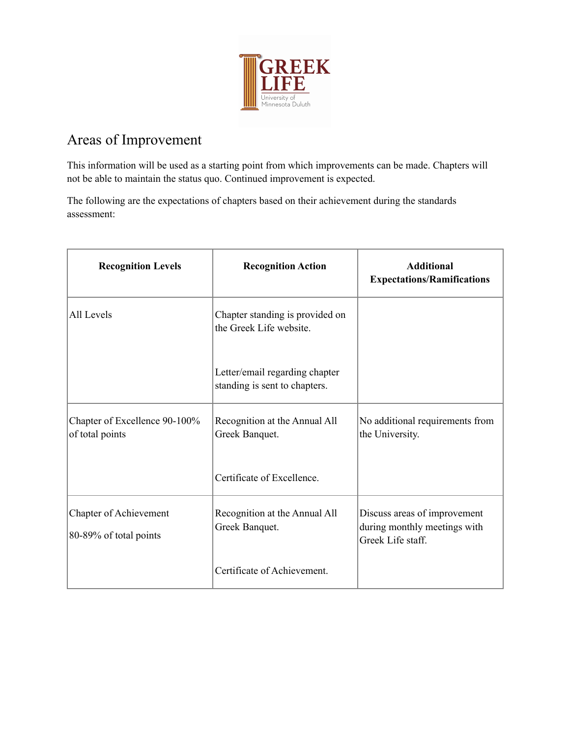

## Areas of Improvement

This information will be used as a starting point from which improvements can be made. Chapters will not be able to maintain the status quo. Continued improvement is expected.

The following are the expectations of chapters based on their achievement during the standards assessment:

| <b>Recognition Levels</b>                        | <b>Recognition Action</b>                                       | <b>Additional</b><br><b>Expectations/Ramifications</b>                            |
|--------------------------------------------------|-----------------------------------------------------------------|-----------------------------------------------------------------------------------|
| All Levels                                       | Chapter standing is provided on<br>the Greek Life website.      |                                                                                   |
|                                                  | Letter/email regarding chapter<br>standing is sent to chapters. |                                                                                   |
| Chapter of Excellence 90-100%<br>of total points | Recognition at the Annual All<br>Greek Banquet.                 | No additional requirements from<br>the University.                                |
|                                                  | Certificate of Excellence.                                      |                                                                                   |
| Chapter of Achievement<br>80-89% of total points | Recognition at the Annual All<br>Greek Banquet.                 | Discuss areas of improvement<br>during monthly meetings with<br>Greek Life staff. |
|                                                  | Certificate of Achievement.                                     |                                                                                   |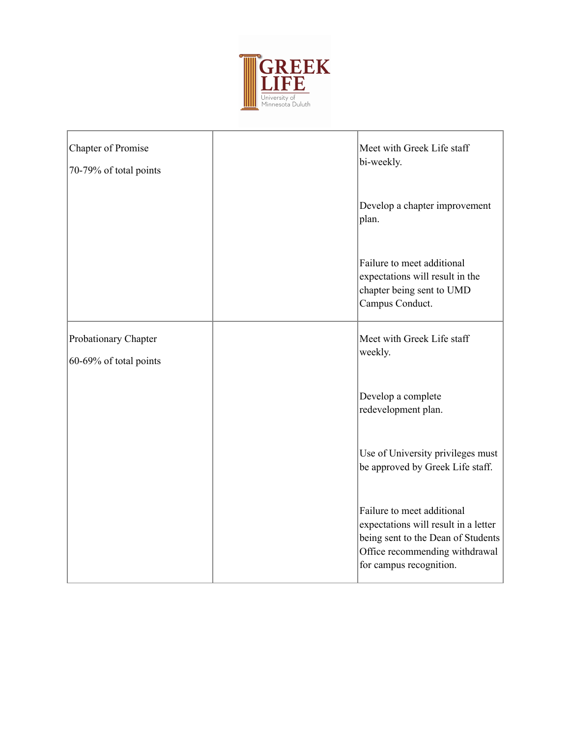

| Chapter of Promise<br>70-79% of total points   | Meet with Greek Life staff<br>bi-weekly.                                                                                                                              |
|------------------------------------------------|-----------------------------------------------------------------------------------------------------------------------------------------------------------------------|
|                                                | Develop a chapter improvement<br>plan.                                                                                                                                |
|                                                | Failure to meet additional<br>expectations will result in the<br>chapter being sent to UMD<br>Campus Conduct.                                                         |
| Probationary Chapter<br>60-69% of total points | Meet with Greek Life staff<br>weekly.                                                                                                                                 |
|                                                | Develop a complete<br>redevelopment plan.                                                                                                                             |
|                                                | Use of University privileges must<br>be approved by Greek Life staff.                                                                                                 |
|                                                | Failure to meet additional<br>expectations will result in a letter<br>being sent to the Dean of Students<br>Office recommending withdrawal<br>for campus recognition. |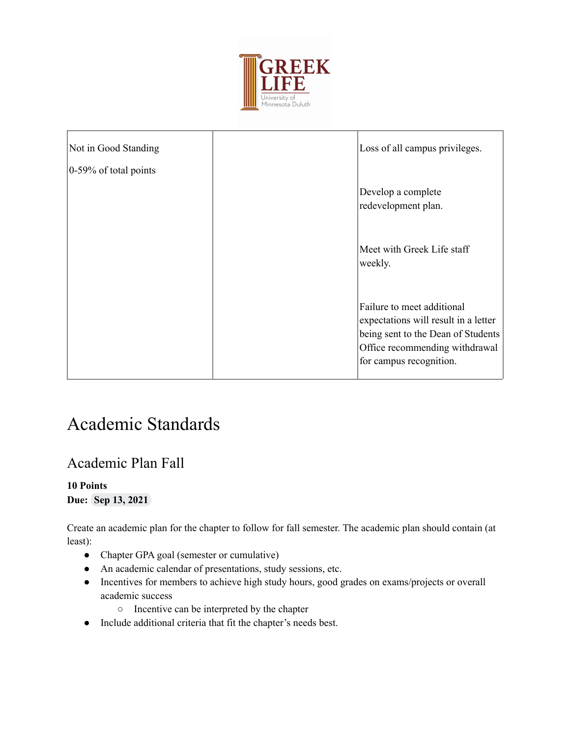

| Not in Good Standing      | Loss of all campus privileges.                                       |
|---------------------------|----------------------------------------------------------------------|
| $ 0-59\%$ of total points | Develop a complete                                                   |
|                           | redevelopment plan.                                                  |
|                           | Meet with Greek Life staff<br>weekly.                                |
|                           | Failure to meet additional<br>expectations will result in a letter   |
|                           | being sent to the Dean of Students<br>Office recommending withdrawal |
|                           | for campus recognition.                                              |

# Academic Standards

### Academic Plan Fall

### **10 Points Due: Sep 13, 2021**

Create an academic plan for the chapter to follow for fall semester. The academic plan should contain (at least):

- Chapter GPA goal (semester or cumulative)
- An academic calendar of presentations, study sessions, etc.
- Incentives for members to achieve high study hours, good grades on exams/projects or overall academic success
	- Incentive can be interpreted by the chapter
- Include additional criteria that fit the chapter's needs best.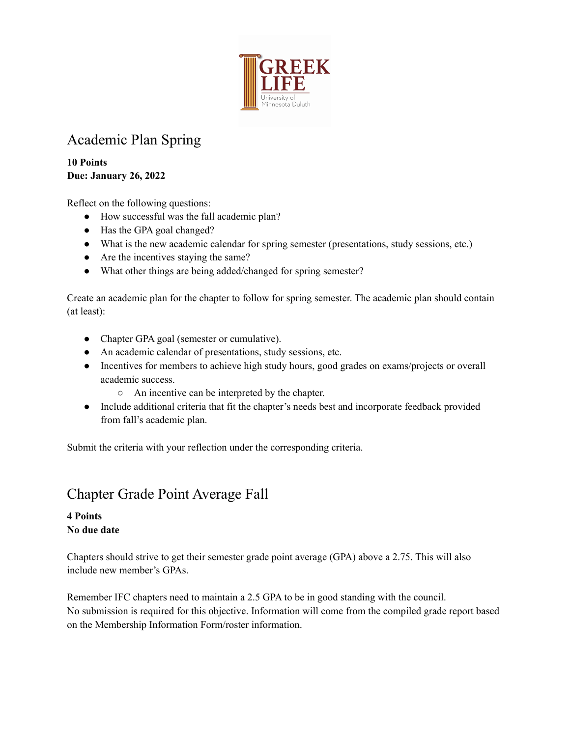

## Academic Plan Spring

**10 Points Due: January 26, 2022**

Reflect on the following questions:

- How successful was the fall academic plan?
- Has the GPA goal changed?
- What is the new academic calendar for spring semester (presentations, study sessions, etc.)
- Are the incentives staying the same?
- What other things are being added/changed for spring semester?

Create an academic plan for the chapter to follow for spring semester. The academic plan should contain (at least):

- Chapter GPA goal (semester or cumulative).
- An academic calendar of presentations, study sessions, etc.
- Incentives for members to achieve high study hours, good grades on exams/projects or overall academic success.
	- An incentive can be interpreted by the chapter.
- Include additional criteria that fit the chapter's needs best and incorporate feedback provided from fall's academic plan.

Submit the criteria with your reflection under the corresponding criteria.

### Chapter Grade Point Average Fall

### **4 Points No due date**

Chapters should strive to get their semester grade point average (GPA) above a 2.75. This will also include new member's GPAs.

Remember IFC chapters need to maintain a 2.5 GPA to be in good standing with the council. No submission is required for this objective. Information will come from the compiled grade report based on the Membership Information Form/roster information.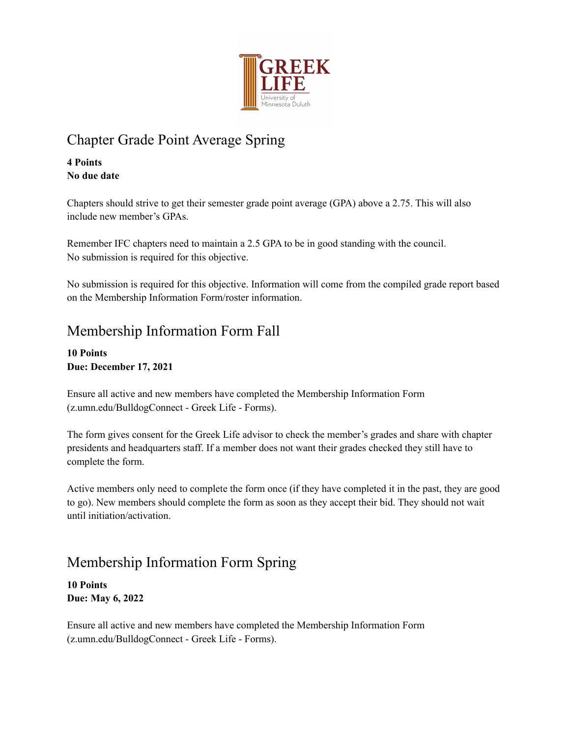

# Chapter Grade Point Average Spring

**4 Points No due date**

Chapters should strive to get their semester grade point average (GPA) above a 2.75. This will also include new member's GPAs.

Remember IFC chapters need to maintain a 2.5 GPA to be in good standing with the council. No submission is required for this objective.

No submission is required for this objective. Information will come from the compiled grade report based on the Membership Information Form/roster information.

## Membership Information Form Fall

**10 Points Due: December 17, 2021**

Ensure all active and new members have completed the Membership Information Form (z.umn.edu/BulldogConnect - Greek Life - Forms).

The form gives consent for the Greek Life advisor to check the member's grades and share with chapter presidents and headquarters staff. If a member does not want their grades checked they still have to complete the form.

Active members only need to complete the form once (if they have completed it in the past, they are good to go). New members should complete the form as soon as they accept their bid. They should not wait until initiation/activation.

# Membership Information Form Spring

**10 Points Due: May 6, 2022**

Ensure all active and new members have completed the Membership Information Form (z.umn.edu/BulldogConnect - Greek Life - Forms).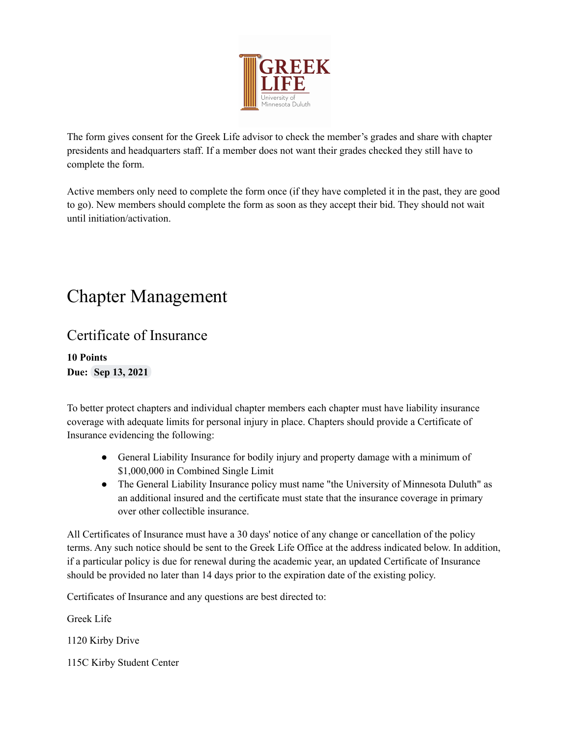

The form gives consent for the Greek Life advisor to check the member's grades and share with chapter presidents and headquarters staff. If a member does not want their grades checked they still have to complete the form.

Active members only need to complete the form once (if they have completed it in the past, they are good to go). New members should complete the form as soon as they accept their bid. They should not wait until initiation/activation.

# Chapter Management

### Certificate of Insurance

**10 Points Due: Sep 13, 2021**

To better protect chapters and individual chapter members each chapter must have liability insurance coverage with adequate limits for personal injury in place. Chapters should provide a Certificate of Insurance evidencing the following:

- General Liability Insurance for bodily injury and property damage with a minimum of \$1,000,000 in Combined Single Limit
- The General Liability Insurance policy must name "the University of Minnesota Duluth" as an additional insured and the certificate must state that the insurance coverage in primary over other collectible insurance.

All Certificates of Insurance must have a 30 days' notice of any change or cancellation of the policy terms. Any such notice should be sent to the Greek Life Office at the address indicated below. In addition, if a particular policy is due for renewal during the academic year, an updated Certificate of Insurance should be provided no later than 14 days prior to the expiration date of the existing policy.

Certificates of Insurance and any questions are best directed to:

Greek Life

1120 Kirby Drive

115C Kirby Student Center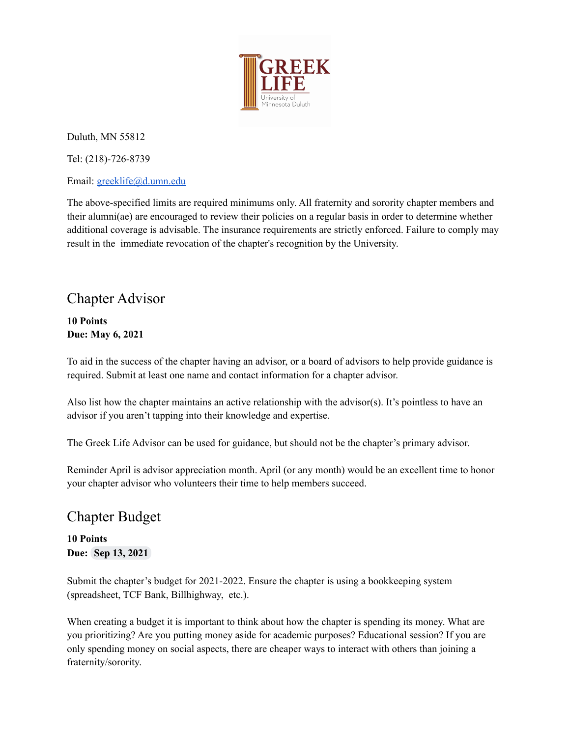

Duluth, MN 55812

Tel: (218)-726-8739

Email: [greeklife@d.umn.edu](mailto:greeklife@d.umn.edu)

The above-specified limits are required minimums only. All fraternity and sorority chapter members and their alumni(ae) are encouraged to review their policies on a regular basis in order to determine whether additional coverage is advisable. The insurance requirements are strictly enforced. Failure to comply may result in the immediate revocation of the chapter's recognition by the University.

### Chapter Advisor

**10 Points Due: May 6, 2021**

To aid in the success of the chapter having an advisor, or a board of advisors to help provide guidance is required. Submit at least one name and contact information for a chapter advisor.

Also list how the chapter maintains an active relationship with the advisor(s). It's pointless to have an advisor if you aren't tapping into their knowledge and expertise.

The Greek Life Advisor can be used for guidance, but should not be the chapter's primary advisor.

Reminder April is advisor appreciation month. April (or any month) would be an excellent time to honor your chapter advisor who volunteers their time to help members succeed.

### Chapter Budget

**10 Points Due: Sep 13, 2021**

Submit the chapter's budget for 2021-2022. Ensure the chapter is using a bookkeeping system (spreadsheet, TCF Bank, Billhighway, etc.).

When creating a budget it is important to think about how the chapter is spending its money. What are you prioritizing? Are you putting money aside for academic purposes? Educational session? If you are only spending money on social aspects, there are cheaper ways to interact with others than joining a fraternity/sorority.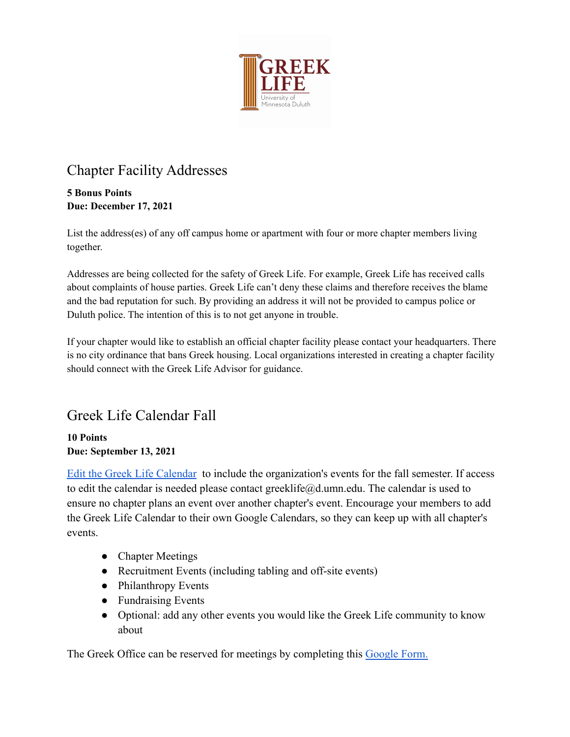

# Chapter Facility Addresses

### **5 Bonus Points Due: December 17, 2021**

List the address(es) of any off campus home or apartment with four or more chapter members living together.

Addresses are being collected for the safety of Greek Life. For example, Greek Life has received calls about complaints of house parties. Greek Life can't deny these claims and therefore receives the blame and the bad reputation for such. By providing an address it will not be provided to campus police or Duluth police. The intention of this is to not get anyone in trouble.

If your chapter would like to establish an official chapter facility please contact your headquarters. There is no city ordinance that bans Greek housing. Local organizations interested in creating a chapter facility should connect with the Greek Life Advisor for guidance.

# Greek Life Calendar Fall

### **10 Points Due: September 13, 2021**

[Edit the Greek Life Calendar](https://calendar.google.com/calendar?cid=ZC51bW4uZWR1XzNzdjRhbGVqdnI0dW8wZWQ1cW51Z2M5bjVzQGdyb3VwLmNhbGVuZGFyLmdvb2dsZS5jb20) to include the organization's events for the fall semester. If access to edit the calendar is needed please contact greeklife@d.umn.edu. The calendar is used to ensure no chapter plans an event over another chapter's event. Encourage your members to add the Greek Life Calendar to their own Google Calendars, so they can keep up with all chapter's events.

- Chapter Meetings
- Recruitment Events (including tabling and off-site events)
- Philanthropy Events
- Fundraising Events
- Optional: add any other events you would like the Greek Life community to know about

The Greek Office can be reserved for meetings by completing this [Google Form.](https://forms.gle/CJEGkASradFvfkBf8)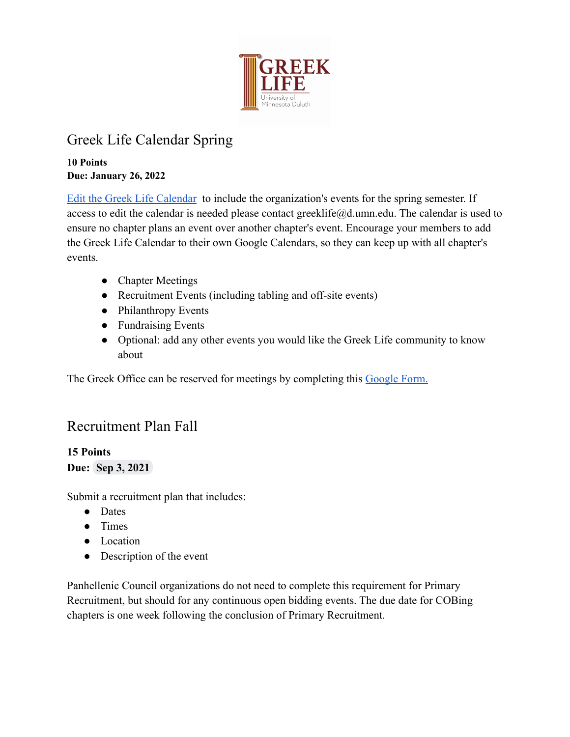

# Greek Life Calendar Spring

**10 Points Due: January 26, 2022**

[Edit the Greek Life Calendar](https://calendar.google.com/calendar?cid=ZC51bW4uZWR1XzNzdjRhbGVqdnI0dW8wZWQ1cW51Z2M5bjVzQGdyb3VwLmNhbGVuZGFyLmdvb2dsZS5jb20) to include the organization's events for the spring semester. If access to edit the calendar is needed please contact greeklife@d.umn.edu. The calendar is used to ensure no chapter plans an event over another chapter's event. Encourage your members to add the Greek Life Calendar to their own Google Calendars, so they can keep up with all chapter's events.

- Chapter Meetings
- Recruitment Events (including tabling and off-site events)
- Philanthropy Events
- Fundraising Events
- Optional: add any other events you would like the Greek Life community to know about

The Greek Office can be reserved for meetings by completing this [Google Form.](https://forms.gle/CJEGkASradFvfkBf8)

## Recruitment Plan Fall

### **15 Points Due: Sep 3, 2021**

Submit a recruitment plan that includes:

- Dates
- Times
- Location
- Description of the event

Panhellenic Council organizations do not need to complete this requirement for Primary Recruitment, but should for any continuous open bidding events. The due date for COBing chapters is one week following the conclusion of Primary Recruitment.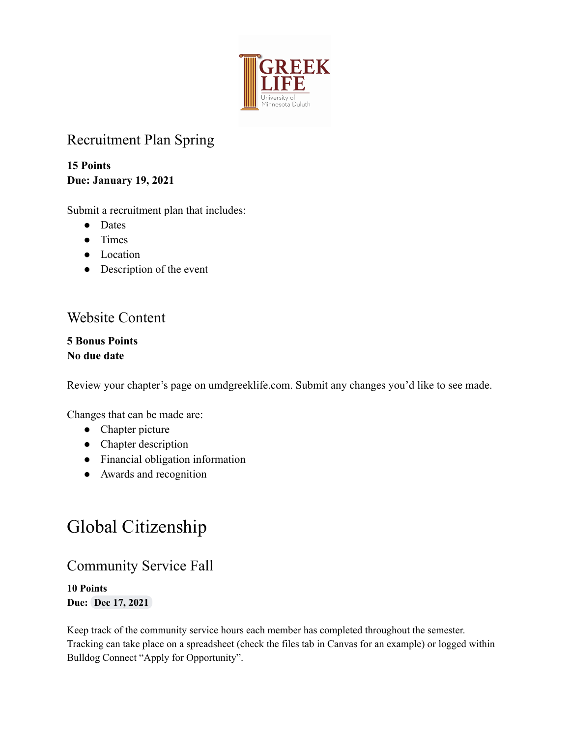

## Recruitment Plan Spring

**15 Points Due: January 19, 2021**

Submit a recruitment plan that includes:

- Dates
- Times
- Location
- Description of the event

## Website Content

**5 Bonus Points No due date**

Review your chapter's page on umdgreeklife.com. Submit any changes you'd like to see made.

Changes that can be made are:

- Chapter picture
- Chapter description
- Financial obligation information
- Awards and recognition

# Global Citizenship

## Community Service Fall

**10 Points Due: Dec 17, 2021**

Keep track of the community service hours each member has completed throughout the semester. Tracking can take place on a spreadsheet (check the files tab in Canvas for an example) or logged within Bulldog Connect "Apply for Opportunity".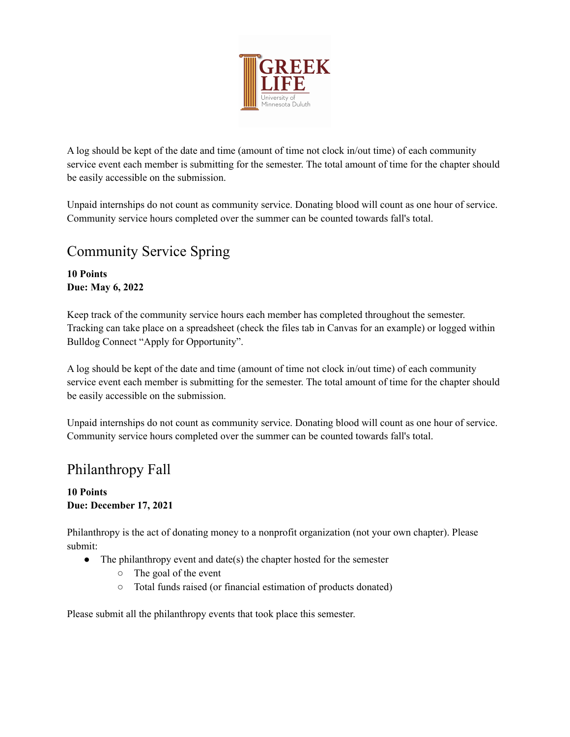

A log should be kept of the date and time (amount of time not clock in/out time) of each community service event each member is submitting for the semester. The total amount of time for the chapter should be easily accessible on the submission.

Unpaid internships do not count as community service. Donating blood will count as one hour of service. Community service hours completed over the summer can be counted towards fall's total.

## Community Service Spring

### **10 Points Due: May 6, 2022**

Keep track of the community service hours each member has completed throughout the semester. Tracking can take place on a spreadsheet (check the files tab in Canvas for an example) or logged within Bulldog Connect "Apply for Opportunity".

A log should be kept of the date and time (amount of time not clock in/out time) of each community service event each member is submitting for the semester. The total amount of time for the chapter should be easily accessible on the submission.

Unpaid internships do not count as community service. Donating blood will count as one hour of service. Community service hours completed over the summer can be counted towards fall's total.

# Philanthropy Fall

### **10 Points Due: December 17, 2021**

Philanthropy is the act of donating money to a nonprofit organization (not your own chapter). Please submit:

- The philanthropy event and date(s) the chapter hosted for the semester
	- The goal of the event
	- Total funds raised (or financial estimation of products donated)

Please submit all the philanthropy events that took place this semester.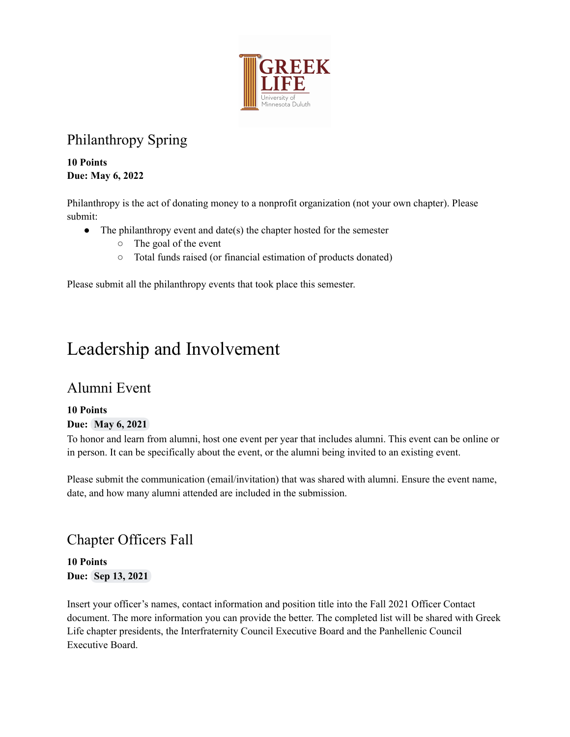

# Philanthropy Spring

**10 Points Due: May 6, 2022**

Philanthropy is the act of donating money to a nonprofit organization (not your own chapter). Please submit:

- The philanthropy event and date(s) the chapter hosted for the semester
	- The goal of the event
	- Total funds raised (or financial estimation of products donated)

Please submit all the philanthropy events that took place this semester.

# Leadership and Involvement

### Alumni Event

#### **10 Points Due: May 6, 2021**

To honor and learn from alumni, host one event per year that includes alumni. This event can be online or in person. It can be specifically about the event, or the alumni being invited to an existing event.

Please submit the communication (email/invitation) that was shared with alumni. Ensure the event name, date, and how many alumni attended are included in the submission.

## Chapter Officers Fall

**10 Points Due: Sep 13, 2021**

Insert your officer's names, contact information and position title into the Fall 2021 Officer Contact document. The more information you can provide the better. The completed list will be shared with Greek Life chapter presidents, the Interfraternity Council Executive Board and the Panhellenic Council Executive Board.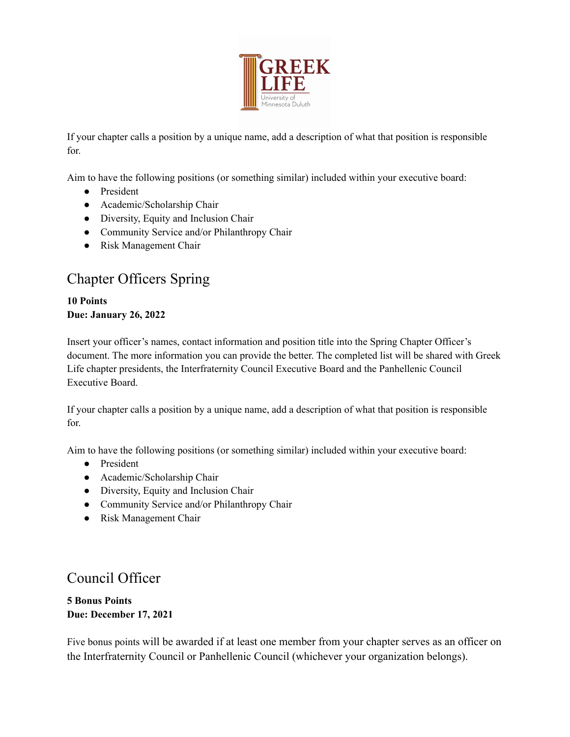

If your chapter calls a position by a unique name, add a description of what that position is responsible for.

Aim to have the following positions (or something similar) included within your executive board:

- President
- Academic/Scholarship Chair
- Diversity, Equity and Inclusion Chair
- Community Service and/or Philanthropy Chair
- Risk Management Chair

# Chapter Officers Spring

**10 Points Due: January 26, 2022**

Insert your officer's names, contact information and position title into the Spring Chapter Officer's document. The more information you can provide the better. The completed list will be shared with Greek Life chapter presidents, the Interfraternity Council Executive Board and the Panhellenic Council Executive Board.

If your chapter calls a position by a unique name, add a description of what that position is responsible for.

Aim to have the following positions (or something similar) included within your executive board:

- President
- Academic/Scholarship Chair
- Diversity, Equity and Inclusion Chair
- Community Service and/or Philanthropy Chair
- Risk Management Chair

### Council Officer

**5 Bonus Points Due: December 17, 2021**

Five bonus points will be awarded if at least one member from your chapter serves as an officer on the Interfraternity Council or Panhellenic Council (whichever your organization belongs).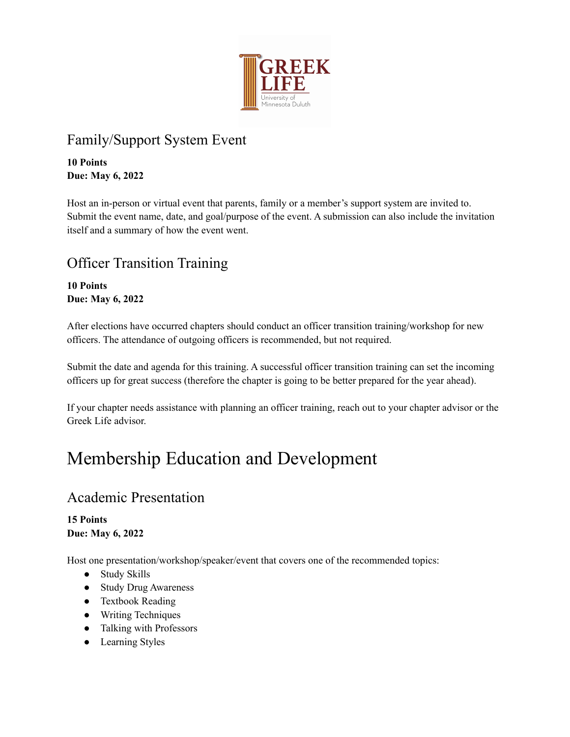

# Family/Support System Event

**10 Points Due: May 6, 2022**

Host an in-person or virtual event that parents, family or a member's support system are invited to. Submit the event name, date, and goal/purpose of the event. A submission can also include the invitation itself and a summary of how the event went.

# Officer Transition Training

**10 Points Due: May 6, 2022**

After elections have occurred chapters should conduct an officer transition training/workshop for new officers. The attendance of outgoing officers is recommended, but not required.

Submit the date and agenda for this training. A successful officer transition training can set the incoming officers up for great success (therefore the chapter is going to be better prepared for the year ahead).

If your chapter needs assistance with planning an officer training, reach out to your chapter advisor or the Greek Life advisor.

# Membership Education and Development

## Academic Presentation

**15 Points Due: May 6, 2022**

Host one presentation/workshop/speaker/event that covers one of the recommended topics:

- Study Skills
- Study Drug Awareness
- Textbook Reading
- Writing Techniques
- Talking with Professors
- Learning Styles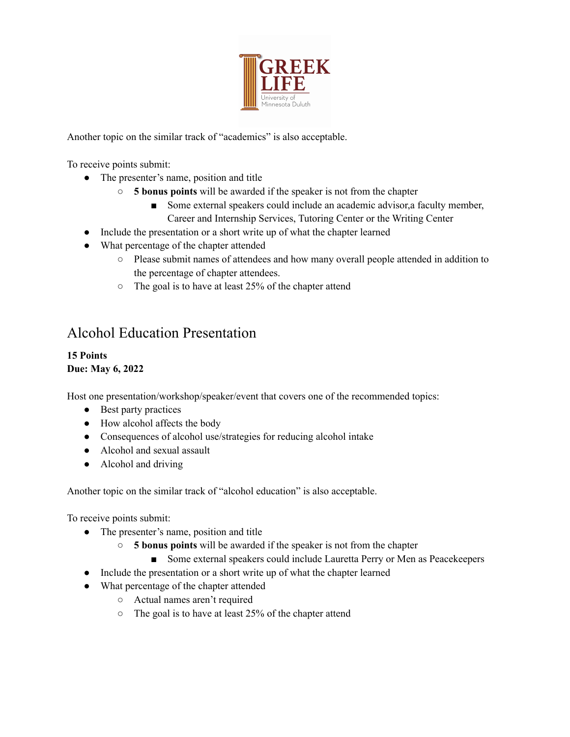

Another topic on the similar track of "academics" is also acceptable.

To receive points submit:

- The presenter's name, position and title
	- **5 bonus points** will be awarded if the speaker is not from the chapter
		- Some external speakers could include an academic advisor, a faculty member, Career and Internship Services, Tutoring Center or the Writing Center
- Include the presentation or a short write up of what the chapter learned
- What percentage of the chapter attended
	- Please submit names of attendees and how many overall people attended in addition to the percentage of chapter attendees.
	- The goal is to have at least 25% of the chapter attend

### Alcohol Education Presentation

#### **15 Points Due: May 6, 2022**

Host one presentation/workshop/speaker/event that covers one of the recommended topics:

- Best party practices
- How alcohol affects the body
- Consequences of alcohol use/strategies for reducing alcohol intake
- Alcohol and sexual assault
- Alcohol and driving

Another topic on the similar track of "alcohol education" is also acceptable.

To receive points submit:

- The presenter's name, position and title
	- **5 bonus points** will be awarded if the speaker is not from the chapter
		- Some external speakers could include Lauretta Perry or Men as Peacekeepers
- Include the presentation or a short write up of what the chapter learned
- What percentage of the chapter attended
	- Actual names aren't required
	- The goal is to have at least 25% of the chapter attend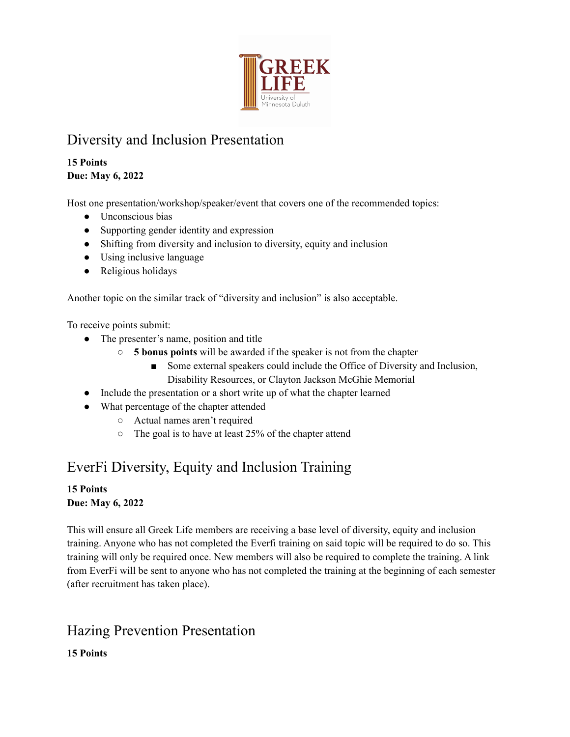

# Diversity and Inclusion Presentation

### **15 Points Due: May 6, 2022**

Host one presentation/workshop/speaker/event that covers one of the recommended topics:

- Unconscious bias
- Supporting gender identity and expression
- Shifting from diversity and inclusion to diversity, equity and inclusion
- Using inclusive language
- Religious holidays

Another topic on the similar track of "diversity and inclusion" is also acceptable.

To receive points submit:

- The presenter's name, position and title
	- **5 bonus points** will be awarded if the speaker is not from the chapter
		- Some external speakers could include the Office of Diversity and Inclusion, Disability Resources, or Clayton Jackson McGhie Memorial
- Include the presentation or a short write up of what the chapter learned
- What percentage of the chapter attended
	- Actual names aren't required
	- The goal is to have at least 25% of the chapter attend

# EverFi Diversity, Equity and Inclusion Training

### **15 Points Due: May 6, 2022**

This will ensure all Greek Life members are receiving a base level of diversity, equity and inclusion training. Anyone who has not completed the Everfi training on said topic will be required to do so. This training will only be required once. New members will also be required to complete the training. A link from EverFi will be sent to anyone who has not completed the training at the beginning of each semester (after recruitment has taken place).

# Hazing Prevention Presentation

**15 Points**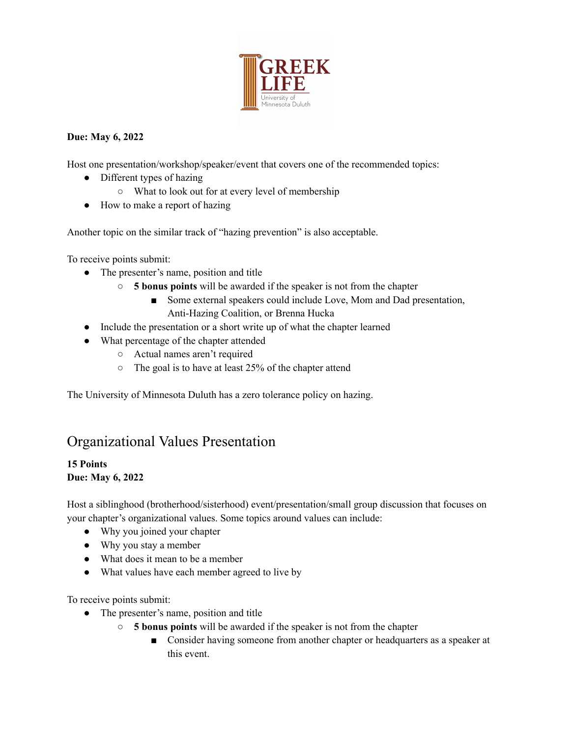

### **Due: May 6, 2022**

Host one presentation/workshop/speaker/event that covers one of the recommended topics:

- Different types of hazing
	- What to look out for at every level of membership
- How to make a report of hazing

Another topic on the similar track of "hazing prevention" is also acceptable.

To receive points submit:

- The presenter's name, position and title
	- **5 bonus points** will be awarded if the speaker is not from the chapter
		- Some external speakers could include Love, Mom and Dad presentation, Anti-Hazing Coalition, or Brenna Hucka
- Include the presentation or a short write up of what the chapter learned
- What percentage of the chapter attended
	- Actual names aren't required
	- The goal is to have at least 25% of the chapter attend

The University of Minnesota Duluth has a zero tolerance policy on hazing.

## Organizational Values Presentation

#### **15 Points Due: May 6, 2022**

Host a siblinghood (brotherhood/sisterhood) event/presentation/small group discussion that focuses on your chapter's organizational values. Some topics around values can include:

- Why you joined your chapter
- Why you stay a member
- What does it mean to be a member
- What values have each member agreed to live by

To receive points submit:

- The presenter's name, position and title
	- **5 bonus points** will be awarded if the speaker is not from the chapter
		- Consider having someone from another chapter or headquarters as a speaker at this event.